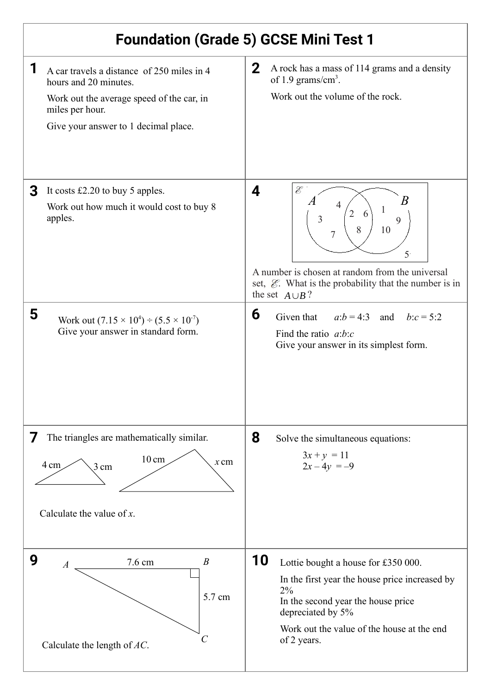| <b>Foundation (Grade 5) GCSE Mini Test 1</b>                                                                                                                                     |                                                                                                                                                                                                                                                                           |
|----------------------------------------------------------------------------------------------------------------------------------------------------------------------------------|---------------------------------------------------------------------------------------------------------------------------------------------------------------------------------------------------------------------------------------------------------------------------|
| 1<br>A car travels a distance of 250 miles in 4<br>hours and 20 minutes.<br>Work out the average speed of the car, in<br>miles per hour.<br>Give your answer to 1 decimal place. | $\mathbf{2}$<br>A rock has a mass of 114 grams and a density<br>of 1.9 grams/cm <sup>3</sup> .<br>Work out the volume of the rock.                                                                                                                                        |
| It costs $£2.20$ to buy 5 apples.<br>3<br>Work out how much it would cost to buy 8<br>apples.                                                                                    | $\mathscr{E}$<br>4<br>B<br>$\boldsymbol{\Delta}$<br>1<br>$\overline{2}$<br>6<br>3<br>9<br>8<br>10<br>$\overline{7}$<br>5<br>A number is chosen at random from the universal<br>set, $\mathcal{E}$ . What is the probability that the number is in<br>the set $A \cup B$ ? |
| 5<br>Work out $(7.15 \times 10^4) \div (5.5 \times 10^7)$<br>Give your answer in standard form.                                                                                  | 6<br>$a:b = 4:3$ and $b:c = 5:2$<br>Given that<br>Find the ratio $a:b:c$<br>Give your answer in its simplest form.                                                                                                                                                        |
| The triangles are mathematically similar.<br>$\prime$<br>$10 \text{ cm}$<br>$x$ cm<br>4 cm<br>$3 \text{ cm}$<br>Calculate the value of $x$ .                                     | 8<br>Solve the simultaneous equations:<br>$3x + y = 11$<br>$2x-4y = -9$                                                                                                                                                                                                   |
| 9<br>$\boldsymbol{B}$<br>7.6 cm<br>$\boldsymbol{A}$<br>5.7 cm<br>C<br>Calculate the length of $AC$ .                                                                             | 10<br>Lottie bought a house for £350 000.<br>In the first year the house price increased by<br>2%<br>In the second year the house price<br>depreciated by 5%<br>Work out the value of the house at the end<br>of 2 years.                                                 |